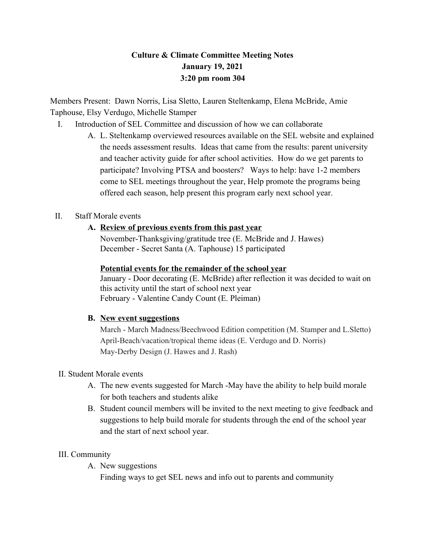## **Culture & Climate Committee Meeting Notes January 19, 2021 3:20 pm room 304**

Members Present: Dawn Norris, Lisa Sletto, Lauren Steltenkamp, Elena McBride, Amie Taphouse, Elsy Verdugo, Michelle Stamper

- I. Introduction of SEL Committee and discussion of how we can collaborate
	- A. L. Steltenkamp overviewed resources available on the SEL website and explained the needs assessment results. Ideas that came from the results: parent university and teacher activity guide for after school activities. How do we get parents to participate? Involving PTSA and boosters? Ways to help: have 1-2 members come to SEL meetings throughout the year, Help promote the programs being offered each season, help present this program early next school year.

### II. Staff Morale events

#### **A. Review of previous events from this past year**

November-Thanksgiving/gratitude tree (E. McBride and J. Hawes) December - Secret Santa (A. Taphouse) 15 participated

#### **Potential events for the remainder of the school year**

January - Door decorating (E. McBride) after reflection it was decided to wait on this activity until the start of school next year February - Valentine Candy Count (E. Pleiman)

#### **B. New event suggestions**

March - March Madness/Beechwood Edition competition (M. Stamper and L.Sletto) April-Beach/vacation/tropical theme ideas (E. Verdugo and D. Norris) May-Derby Design (J. Hawes and J. Rash)

#### II. Student Morale events

- A. The new events suggested for March -May have the ability to help build morale for both teachers and students alike
- B. Student council members will be invited to the next meeting to give feedback and suggestions to help build morale for students through the end of the school year and the start of next school year.

#### III. Community

A. New suggestions

Finding ways to get SEL news and info out to parents and community